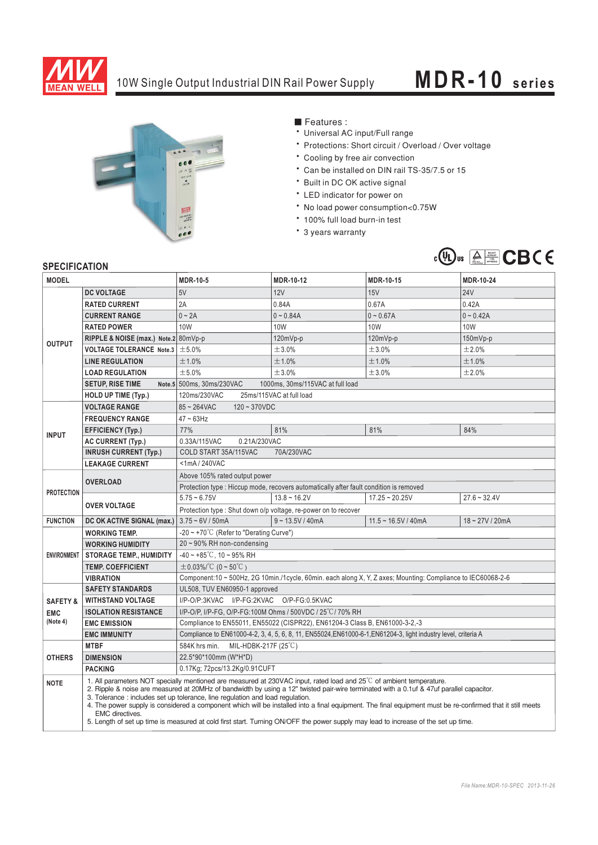

## 10W Single Output Industrial DIN Rail Power Supply **MDR-10 series**



■ Features :

- Universal AC input/Full range
- \* Protections: Short circuit / Overload / Over voltage
- \* Cooling by free air convection
- <sup>6</sup> Can be installed on DIN rail TS-35/7.5 or 15
- \* Built in DC OK active signal
- \* LED indicator for power on
- \* No load power consumption<0.75W
- \* 100% full load burn-in test
- \* 3 years warranty



## **SPECIFICATION**

| יוטוורטא ווטבו וט<br><b>MODEL</b> |                                                                                                                                                                                                                                                                                                                                                                                                                                                                                                                                                                                                                                                                                 | <b>MDR-10-5</b>                                                                                                 | <b>MDR-10-12</b>   | MDR-10-15             | MDR-10-24         |
|-----------------------------------|---------------------------------------------------------------------------------------------------------------------------------------------------------------------------------------------------------------------------------------------------------------------------------------------------------------------------------------------------------------------------------------------------------------------------------------------------------------------------------------------------------------------------------------------------------------------------------------------------------------------------------------------------------------------------------|-----------------------------------------------------------------------------------------------------------------|--------------------|-----------------------|-------------------|
|                                   | <b>DC VOLTAGE</b>                                                                                                                                                                                                                                                                                                                                                                                                                                                                                                                                                                                                                                                               | 5V                                                                                                              | 12V                | 15V                   | <b>24V</b>        |
| <b>OUTPUT</b>                     | <b>RATED CURRENT</b>                                                                                                                                                                                                                                                                                                                                                                                                                                                                                                                                                                                                                                                            | 2A                                                                                                              | 0.84A              | 0.67A                 | 0.42A             |
|                                   | <b>CURRENT RANGE</b>                                                                                                                                                                                                                                                                                                                                                                                                                                                                                                                                                                                                                                                            | $0 \sim 2A$                                                                                                     | $0 - 0.84A$        | $0 - 0.67A$           | $0 - 0.42A$       |
|                                   | <b>RATED POWER</b>                                                                                                                                                                                                                                                                                                                                                                                                                                                                                                                                                                                                                                                              | 10W                                                                                                             | 10W                | 10W                   | 10W               |
|                                   | RIPPLE & NOISE (max.) Note.2 80mVp-p                                                                                                                                                                                                                                                                                                                                                                                                                                                                                                                                                                                                                                            |                                                                                                                 | $120mVp-p$         | 120mVp-p              | $150mVp-p$        |
|                                   | VOLTAGE TOLERANCE Note.3   ±5.0%                                                                                                                                                                                                                                                                                                                                                                                                                                                                                                                                                                                                                                                |                                                                                                                 | ±3.0%              | ±3.0%                 | ±2.0%             |
|                                   | <b>LINE REGULATION</b>                                                                                                                                                                                                                                                                                                                                                                                                                                                                                                                                                                                                                                                          | ±1.0%                                                                                                           | ±1.0%              | ±1.0%                 | ±1.0%             |
|                                   | <b>LOAD REGULATION</b>                                                                                                                                                                                                                                                                                                                                                                                                                                                                                                                                                                                                                                                          | ±5.0%                                                                                                           | ±3.0%              | ±3.0%                 | ±2.0%             |
|                                   | <b>SETUP, RISE TIME</b>                                                                                                                                                                                                                                                                                                                                                                                                                                                                                                                                                                                                                                                         | 1000ms, 30ms/115VAC at full load<br>Note.5 500ms, 30ms/230VAC                                                   |                    |                       |                   |
|                                   | <b>HOLD UP TIME (Typ.)</b>                                                                                                                                                                                                                                                                                                                                                                                                                                                                                                                                                                                                                                                      | 120ms/230VAC<br>25ms/115VAC at full load                                                                        |                    |                       |                   |
|                                   | <b>VOLTAGE RANGE</b>                                                                                                                                                                                                                                                                                                                                                                                                                                                                                                                                                                                                                                                            | $85 - 264$ VAC<br>$120 - 370VDC$                                                                                |                    |                       |                   |
| <b>INPUT</b>                      | <b>FREQUENCY RANGE</b>                                                                                                                                                                                                                                                                                                                                                                                                                                                                                                                                                                                                                                                          | $47 \sim 63$ Hz                                                                                                 |                    |                       |                   |
|                                   | <b>EFFICIENCY (Typ.)</b>                                                                                                                                                                                                                                                                                                                                                                                                                                                                                                                                                                                                                                                        | 77%                                                                                                             | 81%                | 81%                   | 84%               |
|                                   | <b>AC CURRENT (Typ.)</b>                                                                                                                                                                                                                                                                                                                                                                                                                                                                                                                                                                                                                                                        | 0.33A/115VAC<br>0.21A/230VAC                                                                                    |                    |                       |                   |
|                                   | <b>INRUSH CURRENT (Typ.)</b>                                                                                                                                                                                                                                                                                                                                                                                                                                                                                                                                                                                                                                                    | 70A/230VAC<br>COLD START 35A/115VAC                                                                             |                    |                       |                   |
|                                   | <b>LEAKAGE CURRENT</b>                                                                                                                                                                                                                                                                                                                                                                                                                                                                                                                                                                                                                                                          | <1mA/240VAC                                                                                                     |                    |                       |                   |
| <b>PROTECTION</b>                 | <b>OVERLOAD</b>                                                                                                                                                                                                                                                                                                                                                                                                                                                                                                                                                                                                                                                                 | Above 105% rated output power                                                                                   |                    |                       |                   |
|                                   |                                                                                                                                                                                                                                                                                                                                                                                                                                                                                                                                                                                                                                                                                 | Protection type : Hiccup mode, recovers automatically after fault condition is removed                          |                    |                       |                   |
|                                   | <b>OVER VOLTAGE</b>                                                                                                                                                                                                                                                                                                                                                                                                                                                                                                                                                                                                                                                             | $5.75 - 6.75V$                                                                                                  | $13.8 - 16.2V$     | $17.25 - 20.25V$      | $27.6 - 32.4V$    |
|                                   |                                                                                                                                                                                                                                                                                                                                                                                                                                                                                                                                                                                                                                                                                 | Protection type : Shut down o/p voltage, re-power on to recover                                                 |                    |                       |                   |
| <b>FUNCTION</b>                   | DC OK ACTIVE SIGNAL (max.)                                                                                                                                                                                                                                                                                                                                                                                                                                                                                                                                                                                                                                                      | $3.75 - 6V / 50mA$                                                                                              | $9 - 13.5V / 40mA$ | $11.5 - 16.5V / 40mA$ | $18 - 27V / 20mA$ |
| <b>ENVIRONMENT</b>                | <b>WORKING TEMP.</b>                                                                                                                                                                                                                                                                                                                                                                                                                                                                                                                                                                                                                                                            | -20 $\sim$ +70°C (Refer to "Derating Curve")                                                                    |                    |                       |                   |
|                                   | <b>WORKING HUMIDITY</b>                                                                                                                                                                                                                                                                                                                                                                                                                                                                                                                                                                                                                                                         | 20~90% RH non-condensing                                                                                        |                    |                       |                   |
|                                   | <b>STORAGE TEMP., HUMIDITY</b>                                                                                                                                                                                                                                                                                                                                                                                                                                                                                                                                                                                                                                                  | $-40 \sim +85^{\circ}$ C, 10 ~ 95% RH                                                                           |                    |                       |                   |
|                                   | <b>TEMP. COEFFICIENT</b>                                                                                                                                                                                                                                                                                                                                                                                                                                                                                                                                                                                                                                                        | $\pm$ 0.03%/°C (0~50°C)                                                                                         |                    |                       |                   |
|                                   | <b>VIBRATION</b>                                                                                                                                                                                                                                                                                                                                                                                                                                                                                                                                                                                                                                                                | Component:10 ~ 500Hz, 2G 10min./1cycle, 60min. each along X, Y, Z axes; Mounting: Compliance to IEC60068-2-6    |                    |                       |                   |
|                                   | <b>SAFETY STANDARDS</b>                                                                                                                                                                                                                                                                                                                                                                                                                                                                                                                                                                                                                                                         | UL508, TUV EN60950-1 approved                                                                                   |                    |                       |                   |
| <b>SAFETY &amp;</b>               | <b>WITHSTAND VOLTAGE</b>                                                                                                                                                                                                                                                                                                                                                                                                                                                                                                                                                                                                                                                        | I/P-O/P:3KVAC I/P-FG:2KVAC O/P-FG:0.5KVAC                                                                       |                    |                       |                   |
| <b>EMC</b><br>(Note 4)            | <b>ISOLATION RESISTANCE</b>                                                                                                                                                                                                                                                                                                                                                                                                                                                                                                                                                                                                                                                     | I/P-O/P, I/P-FG, O/P-FG:100M Ohms / 500VDC / 25°C/70% RH                                                        |                    |                       |                   |
|                                   | <b>EMC EMISSION</b>                                                                                                                                                                                                                                                                                                                                                                                                                                                                                                                                                                                                                                                             | Compliance to EN55011, EN55022 (CISPR22), EN61204-3 Class B, EN61000-3-2,-3                                     |                    |                       |                   |
|                                   | <b>EMC IMMUNITY</b>                                                                                                                                                                                                                                                                                                                                                                                                                                                                                                                                                                                                                                                             | Compliance to EN61000-4-2, 3, 4, 5, 6, 8, 11, EN55024, EN61000-6-1, EN61204-3, light industry level, criteria A |                    |                       |                   |
| <b>OTHERS</b>                     | <b>MTBF</b>                                                                                                                                                                                                                                                                                                                                                                                                                                                                                                                                                                                                                                                                     | 584K hrs min. MIL-HDBK-217F (25°C)                                                                              |                    |                       |                   |
|                                   | <b>DIMENSION</b>                                                                                                                                                                                                                                                                                                                                                                                                                                                                                                                                                                                                                                                                | 22.5*90*100mm (W*H*D)                                                                                           |                    |                       |                   |
|                                   | <b>PACKING</b>                                                                                                                                                                                                                                                                                                                                                                                                                                                                                                                                                                                                                                                                  | 0.17Kg; 72pcs/13.2Kg/0.91CUFT                                                                                   |                    |                       |                   |
| <b>NOTE</b>                       | 1. All parameters NOT specially mentioned are measured at 230VAC input, rated load and 25°C of ambient temperature.<br>2. Ripple & noise are measured at 20MHz of bandwidth by using a 12" twisted pair-wire terminated with a 0.1uf & 47uf parallel capacitor.<br>3. Tolerance : includes set up tolerance, line regulation and load regulation.<br>4. The power supply is considered a component which will be installed into a final equipment. The final equipment must be re-confirmed that it still meets<br><b>EMC</b> directives.<br>5. Length of set up time is measured at cold first start. Turning ON/OFF the power supply may lead to increase of the set up time. |                                                                                                                 |                    |                       |                   |